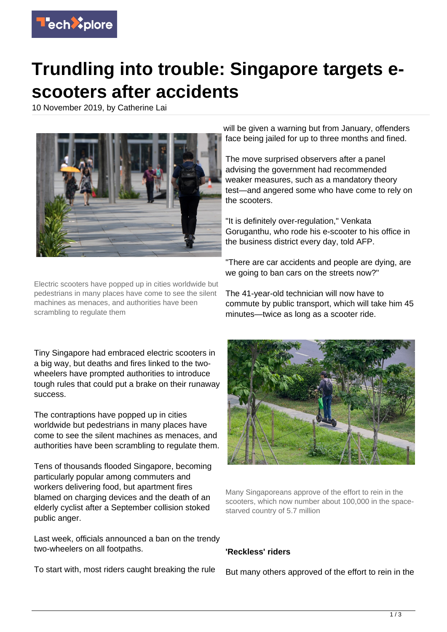

## **Trundling into trouble: Singapore targets escooters after accidents**

10 November 2019, by Catherine Lai



Electric scooters have popped up in cities worldwide but pedestrians in many places have come to see the silent machines as menaces, and authorities have been scrambling to regulate them

Tiny Singapore had embraced electric scooters in a big way, but deaths and fires linked to the twowheelers have prompted authorities to introduce tough rules that could put a brake on their runaway success.

The contraptions have popped up in cities worldwide but pedestrians in many places have come to see the silent machines as menaces, and authorities have been scrambling to regulate them.

Tens of thousands flooded Singapore, becoming particularly popular among commuters and workers delivering food, but apartment fires blamed on charging devices and the death of an elderly cyclist after a September collision stoked public anger.

Last week, officials announced a ban on the trendy two-wheelers on all footpaths.

To start with, most riders caught breaking the rule

will be given a warning but from January, offenders face being jailed for up to three months and fined.

The move surprised observers after a panel advising the government had recommended weaker measures, such as a mandatory theory test—and angered some who have come to rely on the scooters.

"It is definitely over-regulation," Venkata Goruganthu, who rode his e-scooter to his office in the business district every day, told AFP.

"There are car accidents and people are dying, are we going to ban cars on the streets now?"

The 41-year-old technician will now have to commute by public transport, which will take him 45 minutes—twice as long as a scooter ride.



Many Singaporeans approve of the effort to rein in the scooters, which now number about 100,000 in the spacestarved country of 5.7 million

## **'Reckless' riders**

But many others approved of the effort to rein in the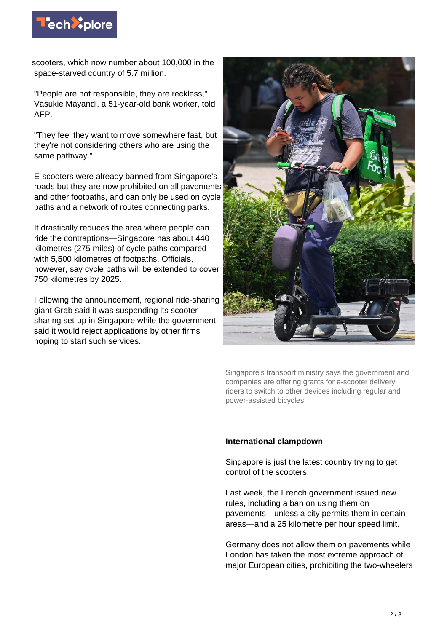

scooters, which now number about 100,000 in the space-starved country of 5.7 million.

"People are not responsible, they are reckless," Vasukie Mayandi, a 51-year-old bank worker, told AFP.

"They feel they want to move somewhere fast, but they're not considering others who are using the same pathway."

E-scooters were already banned from Singapore's roads but they are now prohibited on all pavements and other footpaths, and can only be used on cycle paths and a network of routes connecting parks.

It drastically reduces the area where people can ride the contraptions—Singapore has about 440 kilometres (275 miles) of cycle paths compared with 5,500 kilometres of footpaths. Officials, however, say cycle paths will be extended to cover 750 kilometres by 2025.

Following the announcement, regional ride-sharing giant Grab said it was suspending its scootersharing set-up in Singapore while the government said it would reject applications by other firms hoping to start such services.



Singapore's transport ministry says the government and companies are offering grants for e-scooter delivery riders to switch to other devices including regular and power-assisted bicycles

## **International clampdown**

Singapore is just the latest country trying to get control of the scooters.

Last week, the French government issued new rules, including a ban on using them on pavements—unless a city permits them in certain areas—and a 25 kilometre per hour speed limit.

Germany does not allow them on pavements while London has taken the most extreme approach of major European cities, prohibiting the two-wheelers